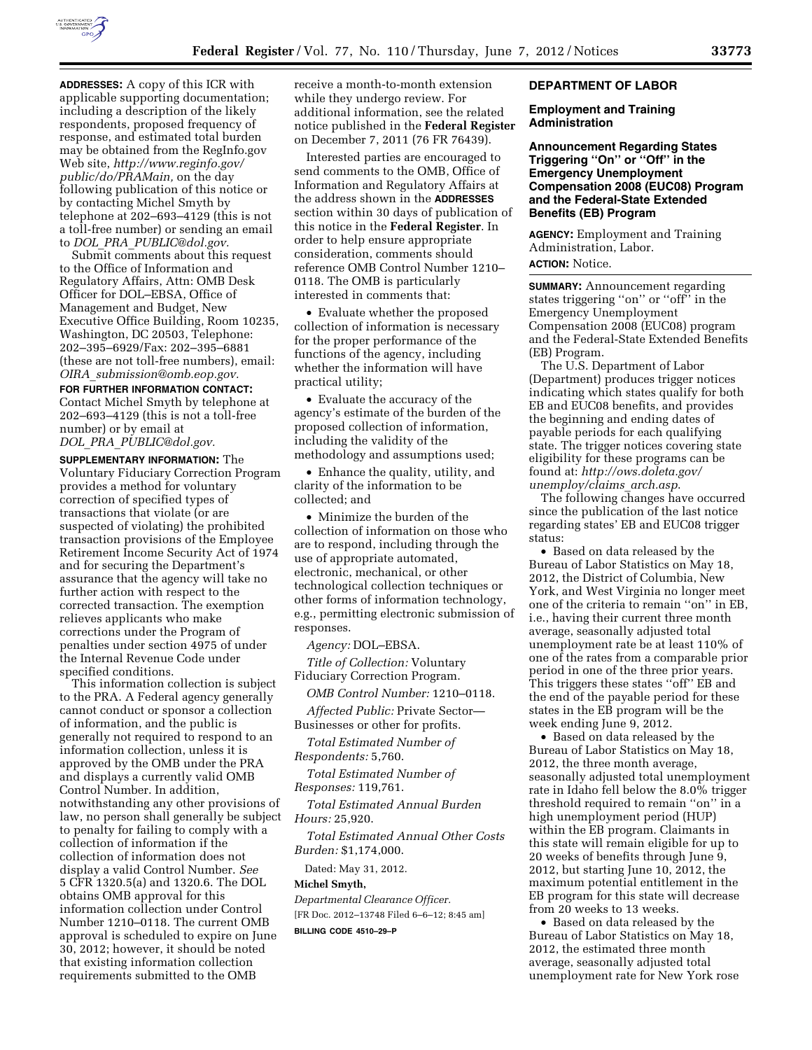

**ADDRESSES:** A copy of this ICR with applicable supporting documentation; including a description of the likely respondents, proposed frequency of response, and estimated total burden may be obtained from the RegInfo.gov Web site, *[http://www.reginfo.gov/](http://www.reginfo.gov/public/do/PRAMain) [public/do/PRAMain,](http://www.reginfo.gov/public/do/PRAMain)* on the day following publication of this notice or by contacting Michel Smyth by telephone at 202–693–4129 (this is not a toll-free number) or sending an email to *DOL*\_*PRA*\_*[PUBLIC@dol.gov.](mailto:DOL_PRA_PUBLIC@dol.gov)* 

Submit comments about this request to the Office of Information and Regulatory Affairs, Attn: OMB Desk Officer for DOL–EBSA, Office of Management and Budget, New Executive Office Building, Room 10235, Washington, DC 20503, Telephone: 202–395–6929/Fax: 202–395–6881 (these are not toll-free numbers), email: *OIRA*\_*[submission@omb.eop.gov.](mailto:OIRA_submission@omb.eop.gov)* 

#### **FOR FURTHER INFORMATION CONTACT:**

Contact Michel Smyth by telephone at 202–693–4129 (this is not a toll-free number) or by email at *DOL*\_*PRA*\_*[PUBLIC@dol.gov.](mailto:DOL_PRA_PUBLIC@dol.gov)* 

**SUPPLEMENTARY INFORMATION:** The Voluntary Fiduciary Correction Program provides a method for voluntary correction of specified types of transactions that violate (or are suspected of violating) the prohibited transaction provisions of the Employee Retirement Income Security Act of 1974 and for securing the Department's assurance that the agency will take no further action with respect to the corrected transaction. The exemption relieves applicants who make corrections under the Program of penalties under section 4975 of under the Internal Revenue Code under specified conditions.

This information collection is subject to the PRA. A Federal agency generally cannot conduct or sponsor a collection of information, and the public is generally not required to respond to an information collection, unless it is approved by the OMB under the PRA and displays a currently valid OMB Control Number. In addition, notwithstanding any other provisions of law, no person shall generally be subject to penalty for failing to comply with a collection of information if the collection of information does not display a valid Control Number. *See*  5 CFR 1320.5(a) and 1320.6. The DOL obtains OMB approval for this information collection under Control Number 1210–0118. The current OMB approval is scheduled to expire on June 30, 2012; however, it should be noted that existing information collection requirements submitted to the OMB

receive a month-to-month extension while they undergo review. For additional information, see the related notice published in the **Federal Register**  on December 7, 2011 (76 FR 76439).

Interested parties are encouraged to send comments to the OMB, Office of Information and Regulatory Affairs at the address shown in the **ADDRESSES** section within 30 days of publication of this notice in the **Federal Register**. In order to help ensure appropriate consideration, comments should reference OMB Control Number 1210– 0118. The OMB is particularly interested in comments that:

• Evaluate whether the proposed collection of information is necessary for the proper performance of the functions of the agency, including whether the information will have practical utility;

• Evaluate the accuracy of the agency's estimate of the burden of the proposed collection of information, including the validity of the methodology and assumptions used;

• Enhance the quality, utility, and clarity of the information to be collected; and

• Minimize the burden of the collection of information on those who are to respond, including through the use of appropriate automated, electronic, mechanical, or other technological collection techniques or other forms of information technology, e.g., permitting electronic submission of responses.

*Agency:* DOL–EBSA.

*Title of Collection:* Voluntary Fiduciary Correction Program.

*OMB Control Number:* 1210–0118. *Affected Public:* Private Sector— Businesses or other for profits.

*Total Estimated Number of Respondents:* 5,760.

*Total Estimated Number of Responses:* 119,761.

*Total Estimated Annual Burden Hours:* 25,920.

*Total Estimated Annual Other Costs Burden:* \$1,174,000.

Dated: May 31, 2012.

### **Michel Smyth,**

*Departmental Clearance Officer.*  [FR Doc. 2012–13748 Filed 6–6–12; 8:45 am] **BILLING CODE 4510–29–P** 

# **DEPARTMENT OF LABOR**

#### **Employment and Training Administration**

**Announcement Regarding States Triggering ''On'' or ''Off'' in the Emergency Unemployment Compensation 2008 (EUC08) Program and the Federal-State Extended Benefits (EB) Program** 

**AGENCY:** Employment and Training Administration, Labor.

**ACTION:** Notice.

**SUMMARY:** Announcement regarding states triggering ''on'' or ''off'' in the Emergency Unemployment Compensation 2008 (EUC08) program and the Federal-State Extended Benefits (EB) Program.

The U.S. Department of Labor (Department) produces trigger notices indicating which states qualify for both EB and EUC08 benefits, and provides the beginning and ending dates of payable periods for each qualifying state. The trigger notices covering state eligibility for these programs can be found at: *[http://ows.doleta.gov/](http://ows.doleta.gov/unemploy/claims_arch.asp) [unemploy/claims](http://ows.doleta.gov/unemploy/claims_arch.asp)*\_*arch.asp*.

The following changes have occurred since the publication of the last notice regarding states' EB and EUC08 trigger status:

• Based on data released by the Bureau of Labor Statistics on May 18, 2012, the District of Columbia, New York, and West Virginia no longer meet one of the criteria to remain ''on'' in EB, i.e., having their current three month average, seasonally adjusted total unemployment rate be at least 110% of one of the rates from a comparable prior period in one of the three prior years. This triggers these states ''off'' EB and the end of the payable period for these states in the EB program will be the week ending June 9, 2012.

• Based on data released by the Bureau of Labor Statistics on May 18, 2012, the three month average, seasonally adjusted total unemployment rate in Idaho fell below the 8.0% trigger threshold required to remain ''on'' in a high unemployment period (HUP) within the EB program. Claimants in this state will remain eligible for up to 20 weeks of benefits through June 9, 2012, but starting June 10, 2012, the maximum potential entitlement in the EB program for this state will decrease from 20 weeks to 13 weeks.

• Based on data released by the Bureau of Labor Statistics on May 18, 2012, the estimated three month average, seasonally adjusted total unemployment rate for New York rose